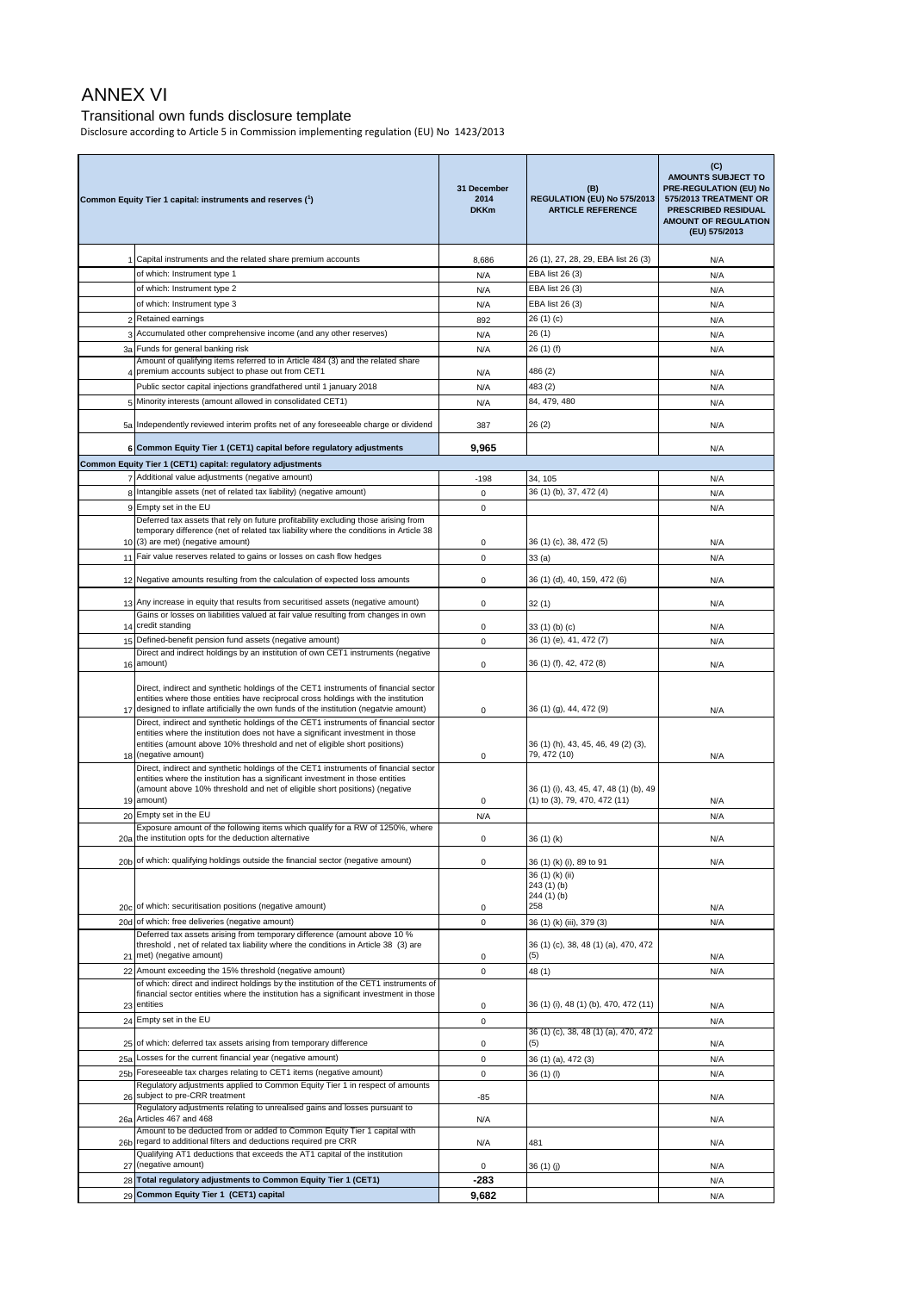## ANNEX VI

## Transitional own funds disclosure template

Disclosure according to Article 5 in Commission implementing regulation (EU) No 1423/2013

| Common Equity Tier 1 capital: instruments and reserves (1) |                                                                                                                                                                                                                                                                    | 31 December<br>2014<br><b>DKKm</b> | (B)<br>REGULATION (EU) No 575/2013<br><b>ARTICLE REFERENCE</b> | (C)<br><b>AMOUNTS SUBJECT TO</b><br>PRE-REGULATION (EU) No<br>575/2013 TREATMENT OR<br><b>PRESCRIBED RESIDUAL</b><br><b>AMOUNT OF REGULATION</b><br>(EU) 575/2013 |
|------------------------------------------------------------|--------------------------------------------------------------------------------------------------------------------------------------------------------------------------------------------------------------------------------------------------------------------|------------------------------------|----------------------------------------------------------------|-------------------------------------------------------------------------------------------------------------------------------------------------------------------|
|                                                            | 1 Capital instruments and the related share premium accounts                                                                                                                                                                                                       | 8,686                              | 26 (1), 27, 28, 29, EBA list 26 (3)                            | N/A                                                                                                                                                               |
|                                                            | of which: Instrument type 1                                                                                                                                                                                                                                        | N/A                                | EBA list 26 (3)                                                | N/A                                                                                                                                                               |
|                                                            | of which: Instrument type 2                                                                                                                                                                                                                                        | N/A                                | EBA list 26 (3)                                                | N/A                                                                                                                                                               |
|                                                            | of which: Instrument type 3                                                                                                                                                                                                                                        | N/A                                | EBA list 26 (3)                                                | N/A                                                                                                                                                               |
| 2                                                          | Retained earnings                                                                                                                                                                                                                                                  | 892                                | 26 (1) (c)                                                     | N/A                                                                                                                                                               |
| 3                                                          | Accumulated other comprehensive income (and any other reserves)<br>3a Funds for general banking risk                                                                                                                                                               | N/A                                | 26(1)                                                          | N/A                                                                                                                                                               |
|                                                            | Amount of qualifying items referred to in Article 484 (3) and the related share                                                                                                                                                                                    | N/A                                | 26 (1) (f)                                                     | N/A                                                                                                                                                               |
| 4                                                          | premium accounts subject to phase out from CET1                                                                                                                                                                                                                    | N/A                                | 486 (2)                                                        | N/A                                                                                                                                                               |
|                                                            | Public sector capital injections grandfathered until 1 january 2018                                                                                                                                                                                                | N/A                                | 483 (2)                                                        | N/A                                                                                                                                                               |
| 5                                                          | Minority interests (amount allowed in consolidated CET1)                                                                                                                                                                                                           | N/A                                | 84, 479, 480                                                   | N/A                                                                                                                                                               |
|                                                            | 5a Independently reviewed interim profits net of any foreseeable charge or dividend                                                                                                                                                                                | 387                                | 26 (2)                                                         | N/A                                                                                                                                                               |
|                                                            | 6 Common Equity Tier 1 (CET1) capital before regulatory adjustments                                                                                                                                                                                                | 9,965                              |                                                                | N/A                                                                                                                                                               |
|                                                            | Common Equity Tier 1 (CET1) capital: regulatory adjustments                                                                                                                                                                                                        |                                    |                                                                |                                                                                                                                                                   |
|                                                            | 7 Additional value adjustments (negative amount)                                                                                                                                                                                                                   | $-198$                             | 34, 105                                                        | N/A                                                                                                                                                               |
|                                                            | 8 Intangible assets (net of related tax liability) (negative amount)<br>9 Empty set in the EU                                                                                                                                                                      | 0<br>0                             | 36 (1) (b), 37, 472 (4)                                        | N/A                                                                                                                                                               |
|                                                            | Deferred tax assets that rely on future profitability excluding those arising from                                                                                                                                                                                 |                                    |                                                                | N/A                                                                                                                                                               |
|                                                            | temporary difference (net of related tax liability where the conditions in Article 38<br>10 (3) are met) (negative amount)                                                                                                                                         | 0                                  | 36 (1) (c), 38, 472 (5)                                        | N/A                                                                                                                                                               |
|                                                            | 11 Fair value reserves related to gains or losses on cash flow hedges                                                                                                                                                                                              | 0                                  | 33 (a)                                                         | N/A                                                                                                                                                               |
|                                                            | 12 Negative amounts resulting from the calculation of expected loss amounts                                                                                                                                                                                        | 0                                  | 36 (1) (d), 40, 159, 472 (6)                                   | N/A                                                                                                                                                               |
|                                                            | 13 Any increase in equity that results from securitised assets (negative amount)                                                                                                                                                                                   | 0                                  | 32 (1)                                                         | N/A                                                                                                                                                               |
|                                                            | Gains or losses on liabilities valued at fair value resulting from changes in own<br>14 credit standing                                                                                                                                                            | 0                                  | 33 (1) (b) (c)                                                 | N/A                                                                                                                                                               |
|                                                            | 15 Defined-benefit pension fund assets (negative amount)                                                                                                                                                                                                           | 0                                  | 36 (1) (e), 41, 472 (7)                                        | N/A                                                                                                                                                               |
|                                                            | Direct and indirect holdings by an institution of own CET1 instruments (negative                                                                                                                                                                                   |                                    |                                                                |                                                                                                                                                                   |
|                                                            | 16 amount)                                                                                                                                                                                                                                                         | 0                                  | 36 (1) (f), 42, 472 (8)                                        | N/A                                                                                                                                                               |
|                                                            | Direct, indirect and synthetic holdings of the CET1 instruments of financial sector<br>entities where those entities have reciprocal cross holdings with the institution<br>17 designed to inflate artificially the own funds of the institution (negatvie amount) |                                    | 36 (1) (g), 44, 472 (9)                                        |                                                                                                                                                                   |
|                                                            | Direct, indirect and synthetic holdings of the CET1 instruments of financial sector                                                                                                                                                                                | 0                                  |                                                                | N/A                                                                                                                                                               |
|                                                            | entities where the institution does not have a significant investment in those<br>entities (amount above 10% threshold and net of eligible short positions)                                                                                                        |                                    | 36 (1) (h), 43, 45, 46, 49 (2) (3),                            |                                                                                                                                                                   |
|                                                            | 18 (negative amount)                                                                                                                                                                                                                                               | 0                                  | 79, 472 (10)                                                   | N/A                                                                                                                                                               |
|                                                            | Direct, indirect and synthetic holdings of the CET1 instruments of financial sector<br>entities where the institution has a significant investment in those entities                                                                                               |                                    |                                                                |                                                                                                                                                                   |
|                                                            | (amount above 10% threshold and net of eligible short positions) (negative                                                                                                                                                                                         |                                    | 36 (1) (i), 43, 45, 47, 48 (1) (b), 49                         |                                                                                                                                                                   |
|                                                            | 19 amount)<br>20 Empty set in the EU                                                                                                                                                                                                                               | 0                                  | (1) to (3), 79, 470, 472 (11)                                  | N/A                                                                                                                                                               |
|                                                            | Exposure amount of the following items which qualify for a RW of 1250%, where                                                                                                                                                                                      | N/A                                |                                                                | N/A                                                                                                                                                               |
| 20a                                                        | the institution opts for the deduction alternative                                                                                                                                                                                                                 | 0                                  | 36 (1) (k)                                                     | N/A                                                                                                                                                               |
|                                                            | 20b of which: qualifying holdings outside the financial sector (negative amount)                                                                                                                                                                                   | 0                                  | 36 (1) (k) (i), 89 to 91                                       | N/A                                                                                                                                                               |
|                                                            |                                                                                                                                                                                                                                                                    |                                    | 36 (1) (k) (ii)<br>243(1)(b)                                   |                                                                                                                                                                   |
|                                                            |                                                                                                                                                                                                                                                                    |                                    | 244 (1) (b)                                                    |                                                                                                                                                                   |
|                                                            | 20c of which: securitisation positions (negative amount)                                                                                                                                                                                                           | 0                                  | 258                                                            | N/A                                                                                                                                                               |
|                                                            | 20d of which: free deliveries (negative amount)<br>Deferred tax assets arising from temporary difference (amount above 10 %                                                                                                                                        | 0                                  | 36 (1) (k) (iii), 379 (3)                                      | N/A                                                                                                                                                               |
|                                                            | threshold, net of related tax liability where the conditions in Article 38 (3) are                                                                                                                                                                                 |                                    | 36 (1) (c), 38, 48 (1) (a), 470, 472                           |                                                                                                                                                                   |
|                                                            | 21 met) (negative amount)<br>22 Amount exceeding the 15% threshold (negative amount)                                                                                                                                                                               | 0<br>0                             | (5)                                                            | N/A                                                                                                                                                               |
|                                                            | of which: direct and indirect holdings by the institution of the CET1 instruments of                                                                                                                                                                               |                                    | 48 (1)                                                         | N/A                                                                                                                                                               |
|                                                            | financial sector entities where the institution has a significant investment in those<br>23 entities                                                                                                                                                               | 0                                  | 36 (1) (i), 48 (1) (b), 470, 472 (11)                          | N/A                                                                                                                                                               |
|                                                            | 24 Empty set in the EU                                                                                                                                                                                                                                             | 0                                  |                                                                | N/A                                                                                                                                                               |
|                                                            | 25 of which: deferred tax assets arising from temporary difference                                                                                                                                                                                                 | 0                                  | 36 (1) (c), 38, 48 (1) (a), 470, 472<br>(5)                    | N/A                                                                                                                                                               |
| 25a                                                        | Losses for the current financial year (negative amount)                                                                                                                                                                                                            | 0                                  | 36 (1) (a), 472 (3)                                            | N/A                                                                                                                                                               |
|                                                            | 25b Foreseeable tax charges relating to CET1 items (negative amount)                                                                                                                                                                                               | 0                                  | 36 (1) (l)                                                     | N/A                                                                                                                                                               |
|                                                            | Regulatory adjustments applied to Common Equity Tier 1 in respect of amounts<br>26 subject to pre-CRR treatment                                                                                                                                                    | -85                                |                                                                | N/A                                                                                                                                                               |
| 26a                                                        | Regulatory adjustments relating to unrealised gains and losses pursuant to<br>Articles 467 and 468                                                                                                                                                                 | N/A                                |                                                                | N/A                                                                                                                                                               |
| 26b                                                        | Amount to be deducted from or added to Common Equity Tier 1 capital with<br>regard to additional filters and deductions required pre CRR                                                                                                                           | N/A                                | 481                                                            | N/A                                                                                                                                                               |
| 27                                                         | Qualifying AT1 deductions that exceeds the AT1 capital of the institution<br>(negative amount)                                                                                                                                                                     | 0                                  | 36 (1) (j)                                                     | N/A                                                                                                                                                               |
|                                                            | 28 Total regulatory adjustments to Common Equity Tier 1 (CET1)                                                                                                                                                                                                     | $-283$                             |                                                                | N/A                                                                                                                                                               |
|                                                            | 29 Common Equity Tier 1 (CET1) capital                                                                                                                                                                                                                             | 9,682                              |                                                                | N/A                                                                                                                                                               |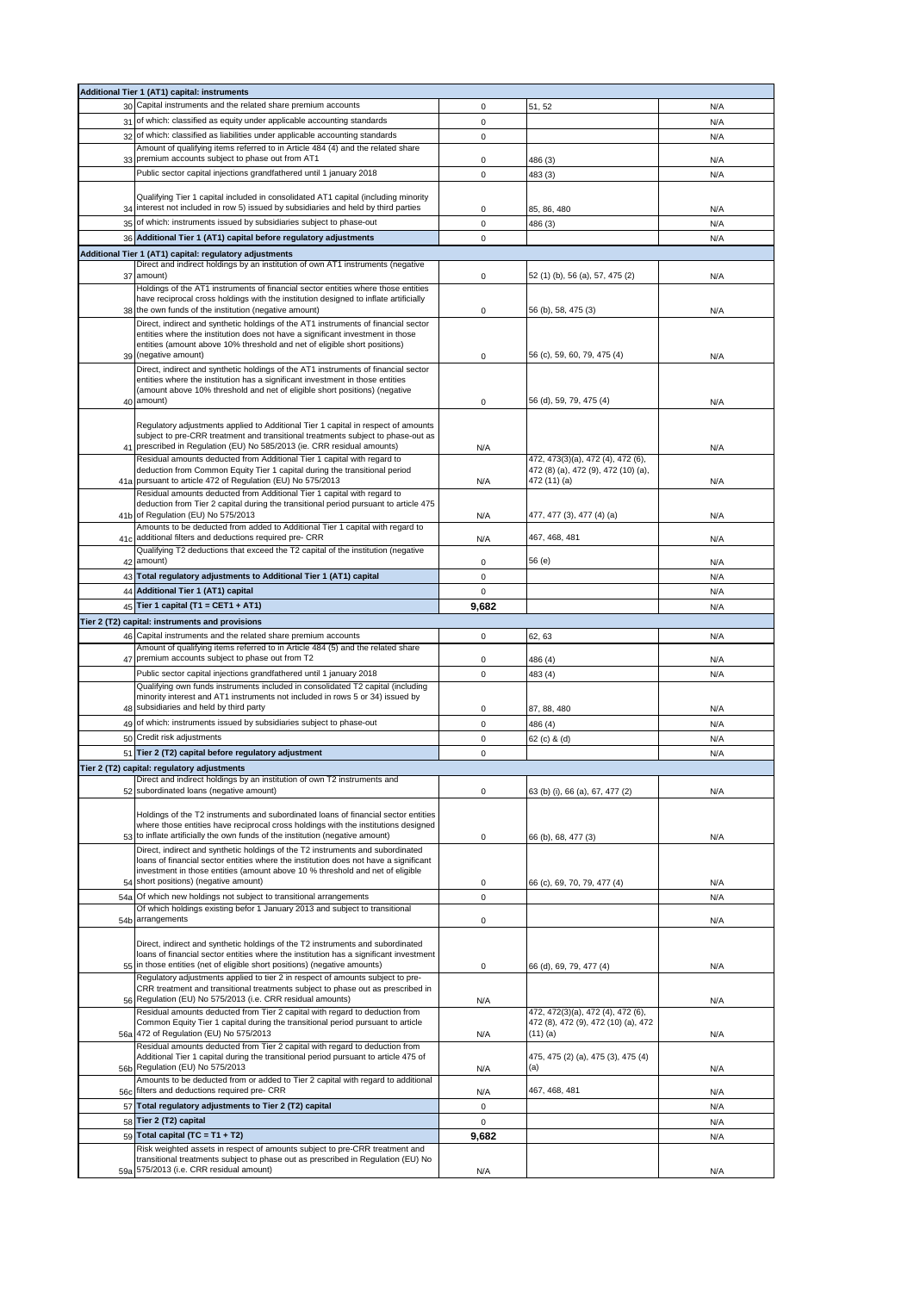|                 | Additional Tier 1 (AT1) capital: instruments                                                                                                                             |             |                                                                          |     |
|-----------------|--------------------------------------------------------------------------------------------------------------------------------------------------------------------------|-------------|--------------------------------------------------------------------------|-----|
|                 | 30 Capital instruments and the related share premium accounts                                                                                                            | 0           | 51, 52                                                                   | N/A |
|                 | 31 of which: classified as equity under applicable accounting standards                                                                                                  | $\mathbf 0$ |                                                                          | N/A |
| 32              | of which: classified as liabilities under applicable accounting standards                                                                                                | 0           |                                                                          | N/A |
|                 | Amount of qualifying items referred to in Article 484 (4) and the related share                                                                                          |             |                                                                          |     |
| 33              | premium accounts subject to phase out from AT1                                                                                                                           | 0           | 486 (3)                                                                  | N/A |
|                 | Public sector capital injections grandfathered until 1 january 2018                                                                                                      | $\mathbf 0$ | 483 (3)                                                                  | N/A |
|                 |                                                                                                                                                                          |             |                                                                          |     |
|                 | Qualifying Tier 1 capital included in consolidated AT1 capital (including minority                                                                                       |             |                                                                          |     |
| 34              | interest not included in row 5) issued by subsidiaries and held by third parties                                                                                         | 0           | 85, 86, 480                                                              | N/A |
| 35              | of which: instruments issued by subsidiaries subject to phase-out                                                                                                        | $\mathbf 0$ | 486 (3)                                                                  | N/A |
| 36              | Additional Tier 1 (AT1) capital before regulatory adjustments                                                                                                            | 0           |                                                                          | N/A |
|                 | Additional Tier 1 (AT1) capital: regulatory adjustments                                                                                                                  |             |                                                                          |     |
|                 | Direct and indirect holdings by an institution of own AT1 instruments (negative                                                                                          |             |                                                                          |     |
| 37              | amount)                                                                                                                                                                  | 0           | 52 (1) (b), 56 (a), 57, 475 (2)                                          | N/A |
|                 | Holdings of the AT1 instruments of financial sector entities where those entities                                                                                        |             |                                                                          |     |
|                 | have reciprocal cross holdings with the institution designed to inflate artificially                                                                                     |             |                                                                          |     |
|                 | the own funds of the institution (negative amount)                                                                                                                       | 0           | 56 (b), 58, 475 (3)                                                      | N/A |
|                 | Direct, indirect and synthetic holdings of the AT1 instruments of financial sector<br>entities where the institution does not have a significant investment in those     |             |                                                                          |     |
|                 | entities (amount above 10% threshold and net of eligible short positions)                                                                                                |             |                                                                          |     |
| 39              | (negative amount)                                                                                                                                                        | 0           | 56 (c), 59, 60, 79, 475 (4)                                              | N/A |
|                 | Direct, indirect and synthetic holdings of the AT1 instruments of financial sector                                                                                       |             |                                                                          |     |
|                 | entities where the institution has a significant investment in those entities                                                                                            |             |                                                                          |     |
|                 | (amount above 10% threshold and net of eligible short positions) (negative                                                                                               |             |                                                                          |     |
| 40              | amount)                                                                                                                                                                  | 0           | 56 (d), 59, 79, 475 (4)                                                  | N/A |
|                 | Regulatory adjustments applied to Additional Tier 1 capital in respect of amounts                                                                                        |             |                                                                          |     |
|                 | subject to pre-CRR treatment and transitional treatments subject to phase-out as                                                                                         |             |                                                                          |     |
| 41              | prescribed in Regulation (EU) No 585/2013 (ie. CRR residual amounts)                                                                                                     | N/A         |                                                                          | N/A |
|                 | Residual amounts deducted from Additional Tier 1 capital with regard to                                                                                                  |             | 472, 473(3)(a), 472 (4), 472 (6),                                        |     |
|                 | deduction from Common Equity Tier 1 capital during the transitional period                                                                                               |             | 472 (8) (a), 472 (9), 472 (10) (a),                                      |     |
| 41a             | pursuant to article 472 of Regulation (EU) No 575/2013                                                                                                                   | N/A         | 472 (11) (a)                                                             | N/A |
|                 | Residual amounts deducted from Additional Tier 1 capital with regard to                                                                                                  |             |                                                                          |     |
| 41 <sub>b</sub> | deduction from Tier 2 capital during the transitional period pursuant to article 475<br>of Regulation (EU) No 575/2013                                                   | N/A         | 477, 477 (3), 477 (4) (a)                                                | N/A |
|                 | Amounts to be deducted from added to Additional Tier 1 capital with regard to                                                                                            |             |                                                                          |     |
| 41c             | additional filters and deductions required pre- CRR                                                                                                                      | N/A         | 467, 468, 481                                                            | N/A |
|                 | Qualifying T2 deductions that exceed the T2 capital of the institution (negative                                                                                         |             |                                                                          |     |
| 42              | amount)                                                                                                                                                                  | 0           | 56 (e)                                                                   | N/A |
|                 | 43 Total regulatory adjustments to Additional Tier 1 (AT1) capital                                                                                                       | 0           |                                                                          | N/A |
|                 | 44 Additional Tier 1 (AT1) capital                                                                                                                                       | 0           |                                                                          | N/A |
|                 | 45 Tier 1 capital (T1 = CET1 + AT1)                                                                                                                                      | 9,682       |                                                                          | N/A |
|                 |                                                                                                                                                                          |             |                                                                          |     |
|                 | Tier 2 (T2) capital: instruments and provisions                                                                                                                          |             |                                                                          |     |
|                 |                                                                                                                                                                          |             |                                                                          |     |
| 46              | Capital instruments and the related share premium accounts                                                                                                               | 0           | 62, 63                                                                   | N/A |
|                 | Amount of qualifying items referred to in Article 484 (5) and the related share                                                                                          |             |                                                                          |     |
| 47              | premium accounts subject to phase out from T2                                                                                                                            | 0           | 486 (4)                                                                  | N/A |
|                 | Public sector capital injections grandfathered until 1 january 2018                                                                                                      | 0           | 483 (4)                                                                  | N/A |
|                 | Qualifying own funds instruments included in consolidated T2 capital (including                                                                                          |             |                                                                          |     |
| 48              | minority interest and AT1 instruments not included in rows 5 or 34) issued by<br>subsidiaries and held by third party                                                    | 0           | 87, 88, 480                                                              | N/A |
|                 |                                                                                                                                                                          |             |                                                                          |     |
| 49              | of which: instruments issued by subsidiaries subject to phase-out                                                                                                        | 0           | 486 (4)                                                                  | N/A |
| 50              | Credit risk adjustments                                                                                                                                                  | 0           | 62 (c) & (d)                                                             | N/A |
|                 | 51 Tier 2 (T2) capital before regulatory adjustment                                                                                                                      | $\mathbf 0$ |                                                                          | N/A |
|                 | Tier 2 (T2) capital: regulatory adjustments                                                                                                                              |             |                                                                          |     |
|                 | Direct and indirect holdings by an institution of own T2 instruments and                                                                                                 |             |                                                                          |     |
| 52              | subordinated loans (negative amount)                                                                                                                                     | 0           | 63 (b) (i), 66 (a), 67, 477 (2)                                          | N/A |
|                 |                                                                                                                                                                          |             |                                                                          |     |
|                 | Holdings of the T2 instruments and subordinated loans of financial sector entities<br>where those entities have reciprocal cross holdings with the institutions designed |             |                                                                          |     |
|                 | 53 to inflate artificially the own funds of the institution (negative amount)                                                                                            | 0           | 66 (b), 68, 477 (3)                                                      | N/A |
|                 | Direct, indirect and synthetic holdings of the T2 instruments and subordinated                                                                                           |             |                                                                          |     |
|                 | loans of financial sector entities where the institution does not have a significant                                                                                     |             |                                                                          |     |
|                 | investment in those entities (amount above 10 % threshold and net of eligible                                                                                            |             |                                                                          |     |
| 54              | short positions) (negative amount)                                                                                                                                       | 0           | 66 (c), 69, 70, 79, 477 (4)                                              | N/A |
| 54a             | Of which new holdings not subject to transitional arrangements                                                                                                           | 0           |                                                                          | N/A |
|                 | Of which holdings existing befor 1 January 2013 and subject to transitional                                                                                              |             |                                                                          |     |
| 54b             | arrangements                                                                                                                                                             | 0           |                                                                          | N/A |
|                 |                                                                                                                                                                          |             |                                                                          |     |
|                 | Direct, indirect and synthetic holdings of the T2 instruments and subordinated<br>loans of financial sector entities where the institution has a significant investment  |             |                                                                          |     |
|                 | 55 in those entities (net of eligible short positions) (negative amounts)                                                                                                | 0           | 66 (d), 69, 79, 477 (4)                                                  | N/A |
|                 | Regulatory adjustments applied to tier 2 in respect of amounts subject to pre-                                                                                           |             |                                                                          |     |
|                 | CRR treatment and transitional treatments subject to phase out as prescribed in                                                                                          |             |                                                                          |     |
| 56              | Regulation (EU) No 575/2013 (i.e. CRR residual amounts)                                                                                                                  | N/A         |                                                                          | N/A |
|                 | Residual amounts deducted from Tier 2 capital with regard to deduction from                                                                                              |             | 472, 472(3)(a), 472 (4), 472 (6),<br>472 (8), 472 (9), 472 (10) (a), 472 |     |
| 56a             | Common Equity Tier 1 capital during the transitional period pursuant to article<br>472 of Regulation (EU) No 575/2013                                                    | N/A         | (11) (a)                                                                 | N/A |
|                 | Residual amounts deducted from Tier 2 capital with regard to deduction from                                                                                              |             |                                                                          |     |
|                 | Additional Tier 1 capital during the transitional period pursuant to article 475 of                                                                                      |             | 475, 475 (2) (a), 475 (3), 475 (4)                                       |     |
| 56b             | Regulation (EU) No 575/2013                                                                                                                                              | N/A         | (a)                                                                      | N/A |
|                 | Amounts to be deducted from or added to Tier 2 capital with regard to additional                                                                                         |             |                                                                          |     |
| 56c             | filters and deductions required pre- CRR                                                                                                                                 | N/A         | 467, 468, 481                                                            | N/A |
| 57              | Total regulatory adjustments to Tier 2 (T2) capital                                                                                                                      | 0           |                                                                          | N/A |
| 58              | Tier 2 (T2) capital                                                                                                                                                      | $\mathbf 0$ |                                                                          | N/A |
| 59              | Total capital $(TC = T1 + T2)$                                                                                                                                           | 9,682       |                                                                          | N/A |
|                 | Risk weighted assets in respect of amounts subject to pre-CRR treatment and                                                                                              |             |                                                                          |     |
|                 | transitional treatments subject to phase out as prescribed in Regulation (EU) No<br>59a 575/2013 (i.e. CRR residual amount)                                              | N/A         |                                                                          | N/A |